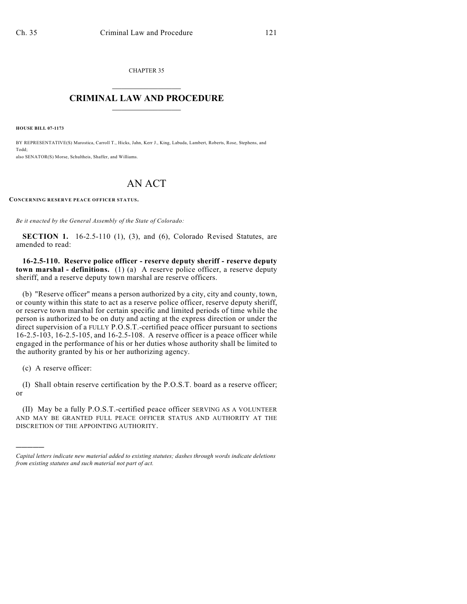CHAPTER 35  $\overline{\phantom{a}}$  . The set of the set of the set of the set of the set of the set of the set of the set of the set of the set of the set of the set of the set of the set of the set of the set of the set of the set of the set o

## **CRIMINAL LAW AND PROCEDURE**  $\frac{1}{2}$  ,  $\frac{1}{2}$  ,  $\frac{1}{2}$  ,  $\frac{1}{2}$  ,  $\frac{1}{2}$  ,  $\frac{1}{2}$  ,  $\frac{1}{2}$

**HOUSE BILL 07-1173**

BY REPRESENTATIVE(S) Marostica, Carroll T., Hicks, Jahn, Kerr J., King, Labuda, Lambert, Roberts, Rose, Stephens, and Todd; also SENATOR(S) Morse, Schultheis, Shaffer, and Williams.

## AN ACT

**CONCERNING RESERVE PEACE OFFICER STATUS.**

*Be it enacted by the General Assembly of the State of Colorado:*

**SECTION 1.** 16-2.5-110 (1), (3), and (6), Colorado Revised Statutes, are amended to read:

**16-2.5-110. Reserve police officer - reserve deputy sheriff - reserve deputy town marshal - definitions.** (1) (a) A reserve police officer, a reserve deputy sheriff, and a reserve deputy town marshal are reserve officers.

(b) "Reserve officer" means a person authorized by a city, city and county, town, or county within this state to act as a reserve police officer, reserve deputy sheriff, or reserve town marshal for certain specific and limited periods of time while the person is authorized to be on duty and acting at the express direction or under the direct supervision of a FULLY P.O.S.T.-certified peace officer pursuant to sections 16-2.5-103, 16-2.5-105, and 16-2.5-108. A reserve officer is a peace officer while engaged in the performance of his or her duties whose authority shall be limited to the authority granted by his or her authorizing agency.

(c) A reserve officer:

)))))

(I) Shall obtain reserve certification by the P.O.S.T. board as a reserve officer; or

(II) May be a fully P.O.S.T.-certified peace officer SERVING AS A VOLUNTEER AND MAY BE GRANTED FULL PEACE OFFICER STATUS AND AUTHORITY AT THE DISCRETION OF THE APPOINTING AUTHORITY.

*Capital letters indicate new material added to existing statutes; dashes through words indicate deletions from existing statutes and such material not part of act.*